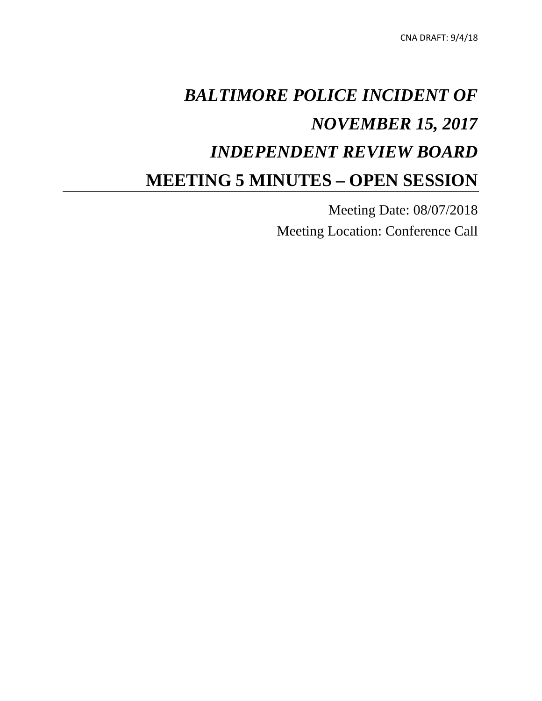## *BALTIMORE POLICE INCIDENT OF NOVEMBER 15, 2017 INDEPENDENT REVIEW BOARD* **MEETING 5 MINUTES – OPEN SESSION**

Meeting Date: 08/07/2018 Meeting Location: Conference Call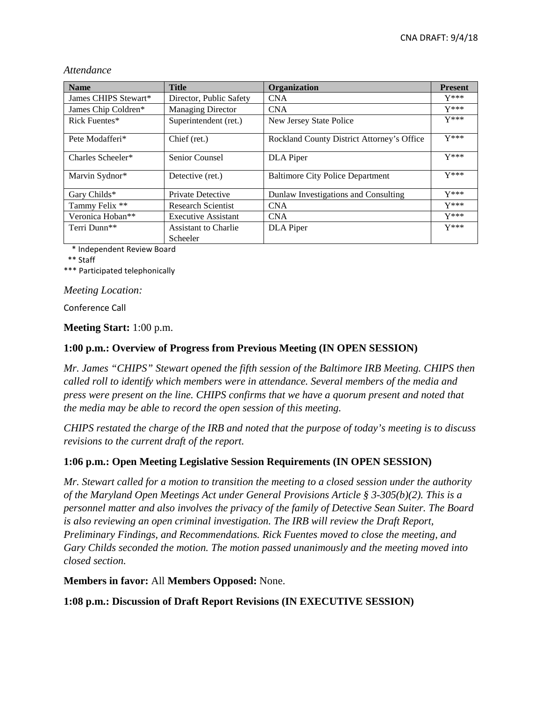| <b>Name</b>          | <b>Title</b>                     | Organization                               | <b>Present</b> |
|----------------------|----------------------------------|--------------------------------------------|----------------|
| James CHIPS Stewart* | Director, Public Safety          | <b>CNA</b>                                 | $Y***$         |
| James Chip Coldren*  | <b>Managing Director</b>         | <b>CNA</b>                                 | $Y***$         |
| Rick Fuentes*        | Superintendent (ret.)            | New Jersey State Police                    | $Y***$         |
| Pete Modafferi*      | Chief (ret.)                     | Rockland County District Attorney's Office | $Y$ ***        |
| Charles Scheeler*    | Senior Counsel                   | DLA Piper                                  | $Y***$         |
| Marvin Sydnor*       | Detective (ret.)                 | <b>Baltimore City Police Department</b>    | $Y***$         |
| Gary Childs*         | Private Detective                | Dunlaw Investigations and Consulting       | $Y$ ***        |
| Tammy Felix **       | <b>Research Scientist</b>        | <b>CNA</b>                                 | $Y***$         |
| Veronica Hoban**     | <b>Executive Assistant</b>       | <b>CNA</b>                                 | $Y***$         |
| Terri Dunn**         | Assistant to Charlie<br>Scheeler | DLA Piper                                  | $Y***$         |

*Attendance*

\* Independent Review Board

\*\* Staff

\*\*\* Participated telephonically

*Meeting Location:*

Conference Call

**Meeting Start:** 1:00 p.m.

## **1:00 p.m.: Overview of Progress from Previous Meeting (IN OPEN SESSION)**

*Mr. James "CHIPS" Stewart opened the fifth session of the Baltimore IRB Meeting. CHIPS then called roll to identify which members were in attendance. Several members of the media and press were present on the line. CHIPS confirms that we have a quorum present and noted that the media may be able to record the open session of this meeting.* 

*CHIPS restated the charge of the IRB and noted that the purpose of today's meeting is to discuss revisions to the current draft of the report.* 

## **1:06 p.m.: Open Meeting Legislative Session Requirements (IN OPEN SESSION)**

*Mr. Stewart called for a motion to transition the meeting to a closed session under the authority of the Maryland Open Meetings Act under General Provisions Article § 3-305(b)(2). This is a personnel matter and also involves the privacy of the family of Detective Sean Suiter. The Board is also reviewing an open criminal investigation. The IRB will review the Draft Report, Preliminary Findings, and Recommendations. Rick Fuentes moved to close the meeting, and Gary Childs seconded the motion. The motion passed unanimously and the meeting moved into closed section.*

**Members in favor:** All **Members Opposed:** None.

**1:08 p.m.: Discussion of Draft Report Revisions (IN EXECUTIVE SESSION)**